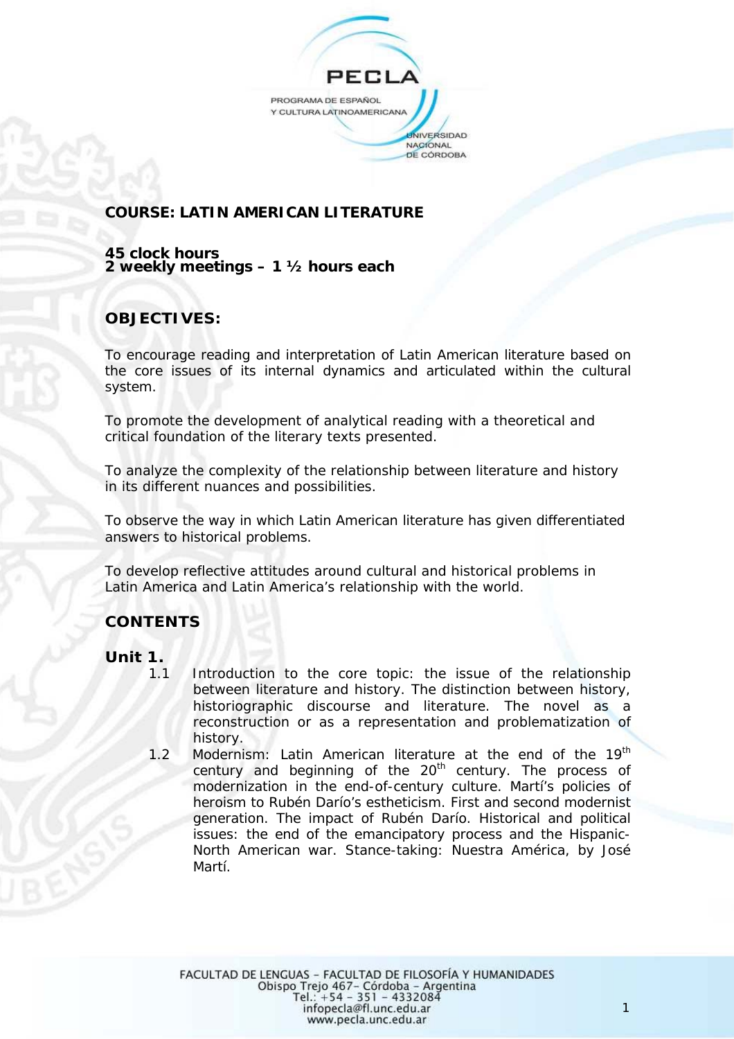

# **COURSE: LATIN AMERICAN LITERATURE**

**45 clock hours 2 weekly meetings – 1 ½ hours each** 

# **OBJECTIVES:**

To encourage reading and interpretation of Latin American literature based on the core issues of its internal dynamics and articulated within the cultural system.

To promote the development of analytical reading with a theoretical and critical foundation of the literary texts presented.

To analyze the complexity of the relationship between literature and history in its different nuances and possibilities.

To observe the way in which Latin American literature has given differentiated answers to historical problems.

To develop reflective attitudes around cultural and historical problems in Latin America and Latin America's relationship with the world.

# **CONTENTS**

**Unit 1.** 

- 1.1 Introduction to the core topic: the issue of the relationship between literature and history. The distinction between history, historiographic discourse and literature. The novel as a reconstruction or as a representation and problematization of history.
- 1.2 Modernism: Latin American literature at the end of the 19<sup>th</sup> century and beginning of the  $20<sup>th</sup>$  century. The process of modernization in the end-of-century culture. Martí's policies of heroism to Rubén Darío's estheticism. First and second modernist generation. The impact of Rubén Darío. Historical and political issues: the end of the emancipatory process and the Hispanic-North American war. Stance-taking: *Nuestra América,* by José Martí.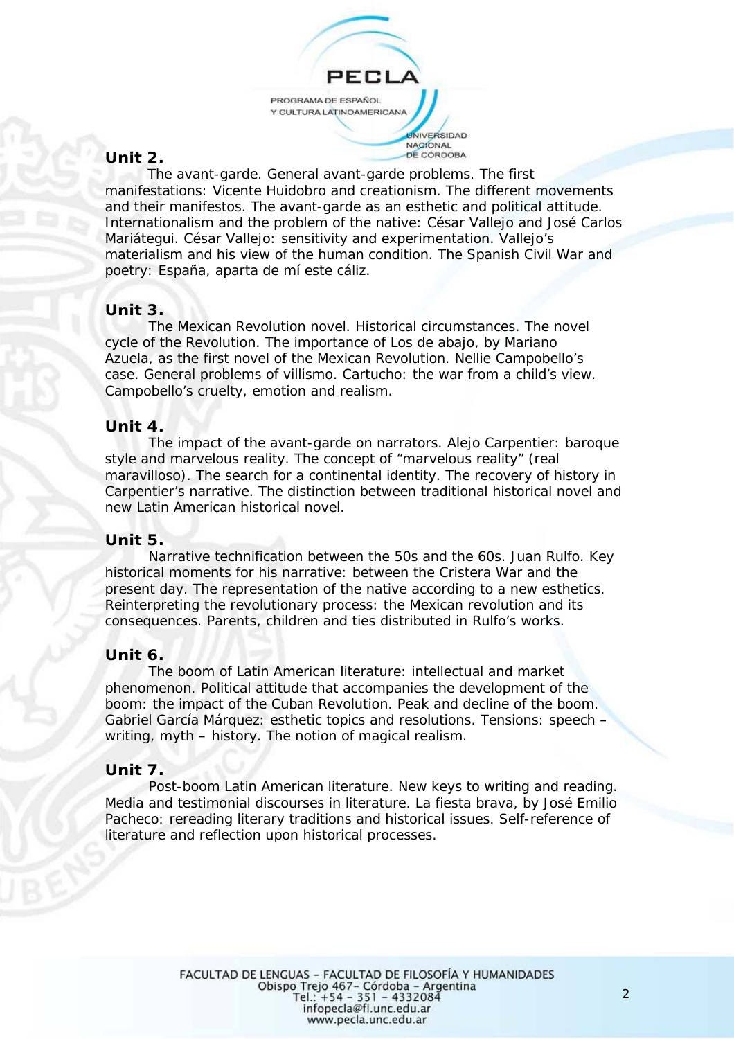

# **Unit 2.**

The avant-garde. General avant-garde problems. The first manifestations: Vicente Huidobro and creationism. The different movements and their manifestos. The avant-garde as an esthetic and political attitude. Internationalism and the problem of the native: César Vallejo and José Carlos Mariátegui. César Vallejo: sensitivity and experimentation. Vallejo's materialism and his view of the human condition. The Spanish Civil War and poetry: *España, aparta de mí este cáliz.* 

## **Unit 3.**

The Mexican Revolution novel. Historical circumstances. The novel cycle of the Revolution. The importance of *Los de abajo*, by Mariano Azuela, as the first novel of the Mexican Revolution. Nellie Campobello's case. General problems of *villismo*. Cartucho: the war from a child's view. Campobello's cruelty, emotion and realism.

## **Unit 4.**

The impact of the avant-garde on narrators. Alejo Carpentier: baroque style and marvelous reality. The concept of "marvelous reality" (*real maravilloso)*. The search for a continental identity. The recovery of history in Carpentier's narrative. The distinction between traditional historical novel and new Latin American historical novel.

## **Unit 5.**

Narrative technification between the 50s and the 60s. Juan Rulfo. Key historical moments for his narrative: between the Cristera War and the present day. The representation of the native according to a new esthetics. Reinterpreting the revolutionary process: the Mexican revolution and its consequences. Parents, children and ties distributed in Rulfo's works.

## **Unit 6.**

The boom of Latin American literature: intellectual and market phenomenon. Political attitude that accompanies the development of the boom: the impact of the Cuban Revolution. Peak and decline of the boom. Gabriel García Márquez: esthetic topics and resolutions. Tensions: speech – writing, myth – history. The notion of magical realism.

## **Unit 7.**

Post-boom Latin American literature. New keys to writing and reading. Media and testimonial discourses in literature. *La fiesta brava*, by José Emilio Pacheco: rereading literary traditions and historical issues. Self-reference of literature and reflection upon historical processes.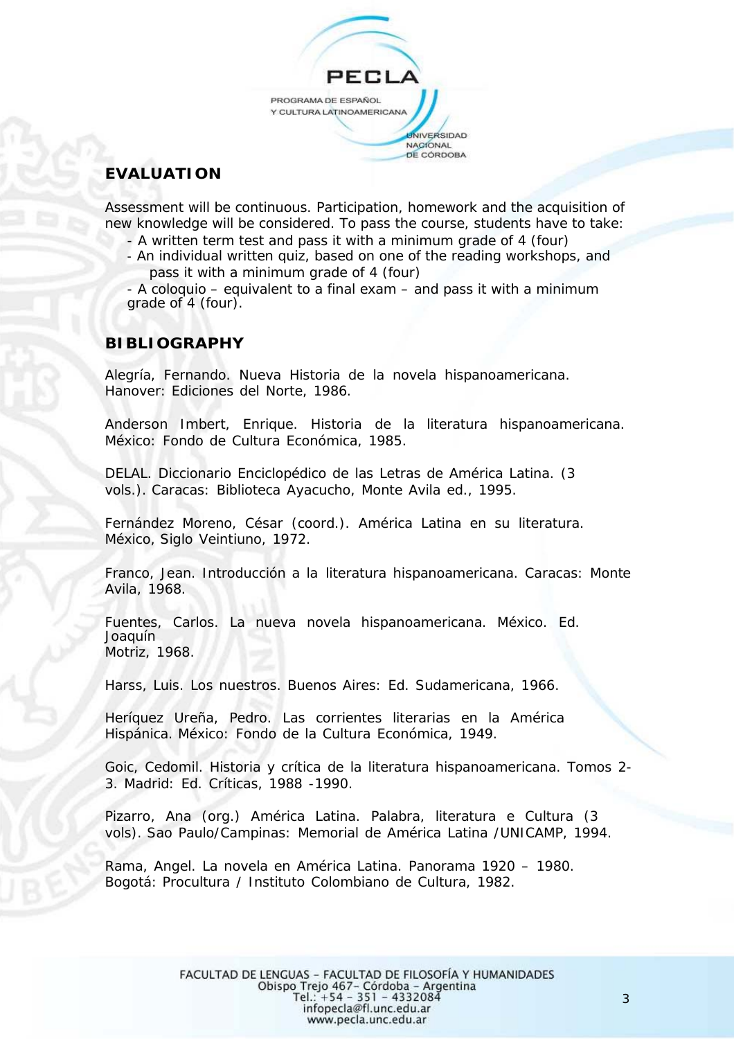

# **EVALUATION**

Assessment will be continuous. Participation, homework and the acquisition of new knowledge will be considered. To pass the course, students have to take:

- A written term test and pass it with a minimum grade of 4 (four)
- An individual written quiz, based on one of the reading workshops, and pass it with a minimum grade of 4 (four)

- A *coloquio* – equivalent to a final exam – and pass it with a minimum grade of 4 (four).

# **BIBLIOGRAPHY**

Alegría, Fernando. Nueva Historia de la novela hispanoamericana. Hanover: Ediciones del Norte, 1986.

Anderson Imbert, Enrique. Historia de la literatura hispanoamericana. México: Fondo de Cultura Económica, 1985.

DELAL. Diccionario Enciclopédico de las Letras de América Latina. (3 vols.). Caracas: Biblioteca Ayacucho, Monte Avila ed., 1995.

Fernández Moreno, César (coord.). América Latina en su literatura. México, Siglo Veintiuno, 1972.

Franco, Jean. Introducción a la literatura hispanoamericana. Caracas: Monte Avila, 1968.

Fuentes, Carlos. La nueva novela hispanoamericana. México. Ed. Joaquín Motriz, 1968.

Harss, Luis. Los nuestros. Buenos Aires: Ed. Sudamericana, 1966.

Heríquez Ureña, Pedro. Las corrientes literarias en la América Hispánica. México: Fondo de la Cultura Económica, 1949.

Goic, Cedomil. Historia y crítica de la literatura hispanoamericana. Tomos 2- 3. Madrid: Ed. Críticas, 1988 -1990.

Pizarro, Ana (org.) América Latina. Palabra, literatura e Cultura (3 vols). Sao Paulo/Campinas: Memorial de América Latina /UNICAMP, 1994.

Rama, Angel. La novela en América Latina. Panorama 1920 – 1980. Bogotá: Procultura / Instituto Colombiano de Cultura, 1982.